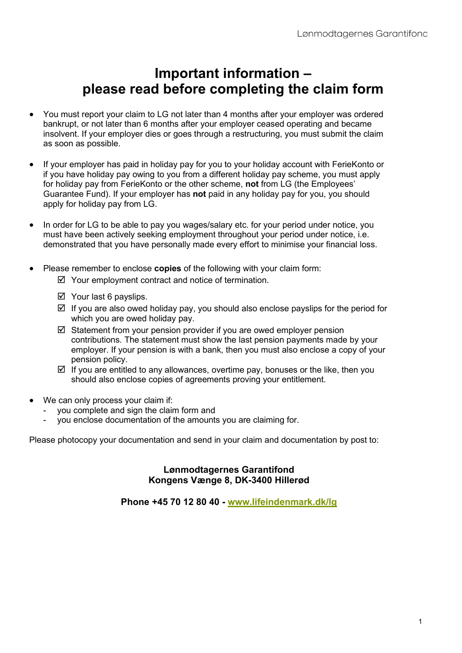# **Important information – please read before completing the claim form**

- You must report your claim to LG not later than 4 months after your employer was ordered bankrupt, or not later than 6 months after your employer ceased operating and became insolvent. If your employer dies or goes through a restructuring, you must submit the claim as soon as possible.
- If your employer has paid in holiday pay for you to your holiday account with FerieKonto or if you have holiday pay owing to you from a different holiday pay scheme, you must apply for holiday pay from FerieKonto or the other scheme, **not** from LG (the Employees' Guarantee Fund). If your employer has **not** paid in any holiday pay for you, you should apply for holiday pay from LG.
- In order for LG to be able to pay you wages/salary etc. for your period under notice, you must have been actively seeking employment throughout your period under notice, i.e. demonstrated that you have personally made every effort to minimise your financial loss.
- Please remember to enclose **copies** of the following with your claim form:
	- $\boxtimes$  Your employment contract and notice of termination.
	- $\boxtimes$  Your last 6 payslips.
	- $\boxtimes$  If you are also owed holiday pay, you should also enclose payslips for the period for which you are owed holiday pay.
	- $\boxtimes$  Statement from your pension provider if you are owed employer pension contributions. The statement must show the last pension payments made by your employer. If your pension is with a bank, then you must also enclose a copy of your pension policy.
	- $\boxtimes$  If you are entitled to any allowances, overtime pay, bonuses or the like, then you should also enclose copies of agreements proving your entitlement.
- We can only process your claim if:
	- you complete and sign the claim form and
	- you enclose documentation of the amounts you are claiming for.

Please photocopy your documentation and send in your claim and documentation by post to:

### **Lønmodtagernes Garantifond Kongens Vænge 8, DK-3400 Hillerød**

**Phone +45 70 12 80 40 - [www.lifeindenmark.dk/lg](http://www.lifeindenmark.dk/lg)**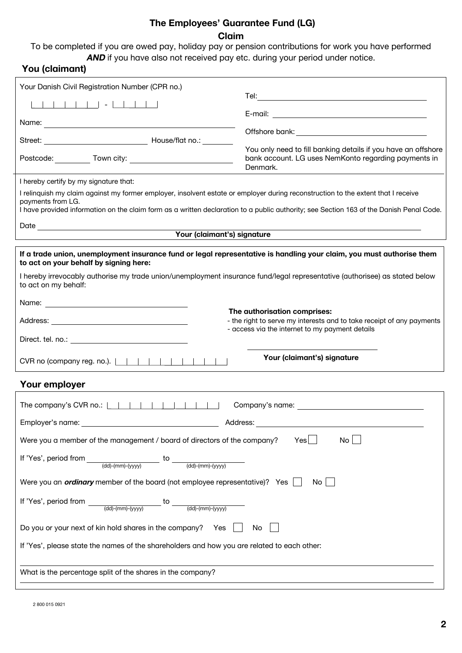### **The Employees' Guarantee Fund (LG) Claim**

To be completed if you are owed pay, holiday pay or pension contributions for work you have performed **AND** if you have also not received pay etc. during your period under notice.

### **You (claimant)**

| Your Danish Civil Registration Number (CPR no.)                                                                                                                                                                                                                                                   |                                                                                                                                   |  |  |
|---------------------------------------------------------------------------------------------------------------------------------------------------------------------------------------------------------------------------------------------------------------------------------------------------|-----------------------------------------------------------------------------------------------------------------------------------|--|--|
|                                                                                                                                                                                                                                                                                                   |                                                                                                                                   |  |  |
|                                                                                                                                                                                                                                                                                                   |                                                                                                                                   |  |  |
|                                                                                                                                                                                                                                                                                                   |                                                                                                                                   |  |  |
|                                                                                                                                                                                                                                                                                                   | You only need to fill banking details if you have an offshore<br>bank account. LG uses NemKonto regarding payments in<br>Denmark. |  |  |
| I hereby certify by my signature that:                                                                                                                                                                                                                                                            |                                                                                                                                   |  |  |
| I relinquish my claim against my former employer, insolvent estate or employer during reconstruction to the extent that I receive<br>payments from LG.<br>I have provided information on the claim form as a written declaration to a public authority; see Section 163 of the Danish Penal Code. |                                                                                                                                   |  |  |
| Your (claimant's) signature                                                                                                                                                                                                                                                                       |                                                                                                                                   |  |  |
|                                                                                                                                                                                                                                                                                                   |                                                                                                                                   |  |  |
| If a trade union, unemployment insurance fund or legal representative is handling your claim, you must authorise them<br>to act on your behalf by signing here:                                                                                                                                   |                                                                                                                                   |  |  |
| I hereby irrevocably authorise my trade union/unemployment insurance fund/legal representative (authorisee) as stated below<br>to act on my behalf:                                                                                                                                               |                                                                                                                                   |  |  |
|                                                                                                                                                                                                                                                                                                   |                                                                                                                                   |  |  |
| The authorisation comprises:<br>- the right to serve my interests and to take receipt of any payments<br>- access via the internet to my payment details                                                                                                                                          |                                                                                                                                   |  |  |
|                                                                                                                                                                                                                                                                                                   |                                                                                                                                   |  |  |
|                                                                                                                                                                                                                                                                                                   | Your (claimant's) signature                                                                                                       |  |  |
| Your employer                                                                                                                                                                                                                                                                                     |                                                                                                                                   |  |  |
|                                                                                                                                                                                                                                                                                                   |                                                                                                                                   |  |  |
| Employer's name:                                                                                                                                                                                                                                                                                  | Address:                                                                                                                          |  |  |
| Were you a member of the management / board of directors of the company?                                                                                                                                                                                                                          | No <sub>1</sub><br>Yes                                                                                                            |  |  |
| If 'Yes', period from<br>to                                                                                                                                                                                                                                                                       |                                                                                                                                   |  |  |
| Were you an <i>ordinary</i> member of the board (not employee representative)? Yes                                                                                                                                                                                                                | No                                                                                                                                |  |  |
| If 'Yes', period from $\underline{\hspace{1cm}(\mathsf{dd})\cdot(\mathsf{mm})\cdot(\mathsf{y}\mathsf{y}\mathsf{y}\mathsf{y})}}$<br>$\frac{1}{\text{(dd)} - \text{(mm)} - \text{(yyy)}}$                                                                                                           |                                                                                                                                   |  |  |
| Do you or your next of kin hold shares in the company? Yes                                                                                                                                                                                                                                        | No                                                                                                                                |  |  |
| If 'Yes', please state the names of the shareholders and how you are related to each other:                                                                                                                                                                                                       |                                                                                                                                   |  |  |
| What is the percentage split of the shares in the company?                                                                                                                                                                                                                                        |                                                                                                                                   |  |  |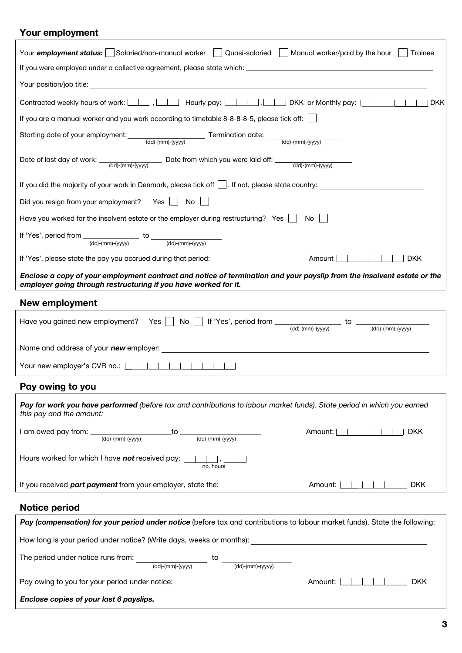## **Your employment**

| Your employment status:   Salaried/non-manual worker    <br>Quasi-salaried     Manual worker/paid by the hour<br>Trainee                                                                                                                                                                                 |
|----------------------------------------------------------------------------------------------------------------------------------------------------------------------------------------------------------------------------------------------------------------------------------------------------------|
|                                                                                                                                                                                                                                                                                                          |
|                                                                                                                                                                                                                                                                                                          |
| Contracted weekly hours of work: $\boxed{\underline{\qquad}$ , $\boxed{\qquad}}$ Hourly pay: $\boxed{\qquad \qquad }$ , $\boxed{\qquad }$ DKK or Monthly pay: $\boxed{\qquad }$        <br><b>DKK</b><br>If you are a manual worker and you work according to timetable 8-8-8-8-5, please tick off: [16] |
|                                                                                                                                                                                                                                                                                                          |
| Starting date of your employment: (dd)-(mm)-(yyyy) Termination date: (dd)-(mm)-(yyyy)                                                                                                                                                                                                                    |
| Date of last day of work: $\frac{1}{\text{(dd)-(mm)-(yyyy)}}$ Date from which you were laid off: $\frac{1}{\text{(dd)-(mm)-(yyyy)}}$                                                                                                                                                                     |
| If you did the majority of your work in Denmark, please tick off $\vert \cdot \vert$ . If not, please state country:                                                                                                                                                                                     |
| Did you resign from your employment? Yes   No                                                                                                                                                                                                                                                            |
| Have you worked for the insolvent estate or the employer during restructuring? Yes $\parallel$ No                                                                                                                                                                                                        |
| If 'Yes', period from $\frac{1}{(dd)-(mm)-(yyyy)}$ to $\frac{1}{(dd)-(mm)-(yyyy)}$                                                                                                                                                                                                                       |
| Amount $ $ $ $ $ $ $ $ $ $ $ $<br>If 'Yes', please state the pay you accrued during that period:<br>  DKK                                                                                                                                                                                                |
| Enclose a copy of your employment contract and notice of termination and your payslip from the insolvent estate or the<br>employer going through restructuring if you have worked for it.                                                                                                                |
| <b>New employment</b>                                                                                                                                                                                                                                                                                    |
| Have you gained new employment? Yes $\Box$ No $\Box$ If 'Yes', period from $\Box$ to $\Box$ to $\Box$ (dd)-(mm)-(yyyy)                                                                                                                                                                                   |
|                                                                                                                                                                                                                                                                                                          |
| Your new employer's CVR no.:                                                                                                                                                                                                                                                                             |
| Pay owing to you                                                                                                                                                                                                                                                                                         |
| Pay for work you have performed (before tax and contributions to labour market funds). State period in which you earned<br>this pay and the amount:                                                                                                                                                      |
| Amount:  <br>I am owed pay from: _<br>$\sim$ 1 $\sim$ 1<br><b>DKK</b><br>_to _<br>$\frac{1}{(dd)-(mm)-(yyyy)}$<br>$\frac{1}{\text{(dd)} - \text{(mm)} - \text{(yyy)}}$                                                                                                                                   |
| Hours worked for which I have not received pay:  <br>no. hours                                                                                                                                                                                                                                           |
| If you received part payment from your employer, state the:<br>Amount:<br><b>DKK</b>                                                                                                                                                                                                                     |
| <b>Notice period</b>                                                                                                                                                                                                                                                                                     |
| Pay (compensation) for your period under notice (before tax and contributions to labour market funds). State the following:                                                                                                                                                                              |
| How long is your period under notice? (Write days, weeks or months): _______________________________                                                                                                                                                                                                     |
| The period under notice runs from:<br>$\frac{1}{\text{(dd)-(mm)-(yyyy)}}$<br>$(dd)-(mm)-(yyyy)$                                                                                                                                                                                                          |
| Pay owing to you for your period under notice:<br>Amount:<br><b>DKK</b>                                                                                                                                                                                                                                  |
| Enclose copies of your last 6 payslips.                                                                                                                                                                                                                                                                  |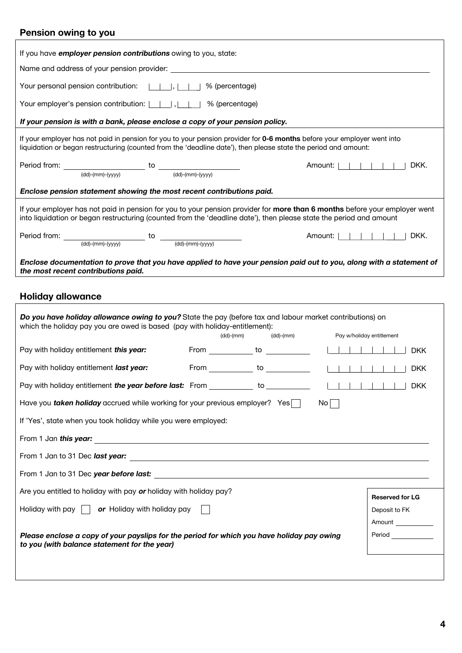## **Pension owing to you**

| If you have <i>employer pension contributions</i> owing to you, state:                                                                                                                                                                            |  |                                                                                                                |                           |                        |
|---------------------------------------------------------------------------------------------------------------------------------------------------------------------------------------------------------------------------------------------------|--|----------------------------------------------------------------------------------------------------------------|---------------------------|------------------------|
| Name and address of your pension provider:                                                                                                                                                                                                        |  |                                                                                                                |                           |                        |
| Your personal pension contribution:      ,     % (percentage)                                                                                                                                                                                     |  |                                                                                                                |                           |                        |
| Your employer's pension contribution:      ,      % (percentage)                                                                                                                                                                                  |  |                                                                                                                |                           |                        |
| If your pension is with a bank, please enclose a copy of your pension policy.                                                                                                                                                                     |  |                                                                                                                |                           |                        |
| If your employer has not paid in pension for you to your pension provider for 0-6 months before your employer went into<br>liquidation or began restructuring (counted from the 'deadline date'), then please state the period and amount:        |  |                                                                                                                |                           |                        |
| Period from: $\underbrace{\hspace{2cm}}_{(dd)-(mm)-(yyyy)}$ to $\underbrace{\hspace{2cm}}_{(dd)-(mm)-(yyyy)}$                                                                                                                                     |  |                                                                                                                | Amount: $               $ | DKK.                   |
|                                                                                                                                                                                                                                                   |  |                                                                                                                |                           |                        |
| Enclose pension statement showing the most recent contributions paid.                                                                                                                                                                             |  |                                                                                                                |                           |                        |
| If your employer has not paid in pension for you to your pension provider for more than 6 months before your employer went<br>into liquidation or began restructuring (counted from the 'deadline date'), then please state the period and amount |  |                                                                                                                |                           |                        |
|                                                                                                                                                                                                                                                   |  |                                                                                                                | Amount:                   | DKK.                   |
| Period from: $\underbrace{\hspace{2cm}}_{(dd)-(mm)-(yyyy)}$ to $\underbrace{\hspace{2cm}}_{(dd)-(mm)-(yyyy)}$                                                                                                                                     |  |                                                                                                                |                           |                        |
| Enclose documentation to prove that you have applied to have your pension paid out to you, along with a statement of<br>the most recent contributions paid.                                                                                       |  |                                                                                                                |                           |                        |
|                                                                                                                                                                                                                                                   |  |                                                                                                                |                           |                        |
| <b>Holiday allowance</b>                                                                                                                                                                                                                          |  |                                                                                                                |                           |                        |
| Do you have holiday allowance owing to you? State the pay (before tax and labour market contributions) on<br>which the holiday pay you are owed is based (pay with holiday-entitlement):                                                          |  | $(dd)$ - $(mm)$<br>$(dd)-(mm)$                                                                                 | Pay w/holiday entitlement |                        |
| Pay with holiday entitlement this year:                                                                                                                                                                                                           |  | From to                                                                                                        |                           | <b>DKK</b>             |
| Pay with holiday entitlement last year:                                                                                                                                                                                                           |  | From to to the contract of the contract of the contract of the contract of the contract of the contract of the |                           | <b>DKK</b>             |
| Pay with holiday entitlement the year before last: From ___________ to _________                                                                                                                                                                  |  |                                                                                                                |                           |                        |
| Have you taken holiday accrued while working for your previous employer? Yes                                                                                                                                                                      |  |                                                                                                                | $\mathsf{No}$             |                        |
| If 'Yes', state when you took holiday while you were employed:                                                                                                                                                                                    |  |                                                                                                                |                           |                        |
|                                                                                                                                                                                                                                                   |  |                                                                                                                |                           |                        |
|                                                                                                                                                                                                                                                   |  |                                                                                                                |                           |                        |
|                                                                                                                                                                                                                                                   |  |                                                                                                                |                           |                        |
| Are you entitled to holiday with pay or holiday with holiday pay?                                                                                                                                                                                 |  |                                                                                                                |                           | <b>Reserved for LG</b> |
| Holiday with pay $\Box$ or Holiday with holiday pay                                                                                                                                                                                               |  |                                                                                                                |                           | Deposit to FK          |
|                                                                                                                                                                                                                                                   |  |                                                                                                                |                           | Amount                 |
| Please enclose a copy of your payslips for the period for which you have holiday pay owing                                                                                                                                                        |  |                                                                                                                |                           | Period                 |

**Please enclose a copy of your payslips for the period for which you have holiday pay owing** 

**to you (with balance statement for the year)**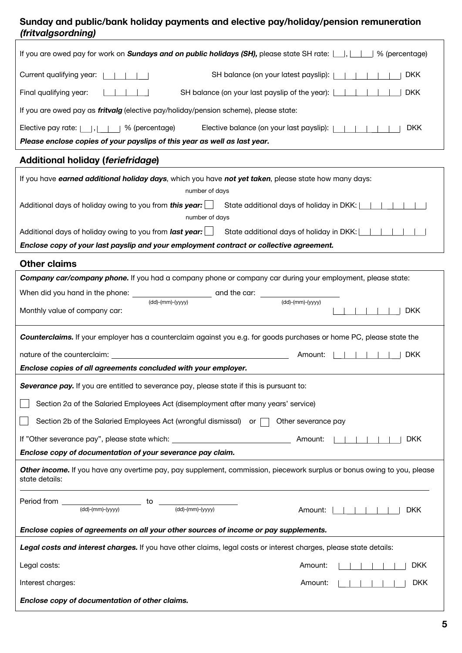### **Sunday and public/bank holiday payments and elective pay/holiday/pension remuneration (fritvalgsordning)**

| If you are owed pay for work on <b>Sundays and on public holidays (SH)</b> , please state SH rate: $\Box$ , $\Box$   % (percentage)       |
|-------------------------------------------------------------------------------------------------------------------------------------------|
| Current qualifying year:  <br>SH balance (on your latest payslip):  <br><b>DKK</b>                                                        |
| <b>DKK</b><br>Final qualifying year:<br>SH balance (on your last payslip of the year): [                                                  |
| If you are owed pay as <i>fritvalg</i> (elective pay/holiday/pension scheme), please state:                                               |
| Elective pay rate: $  \cdot   \cdot   \cdot  $ % (percentage)<br>Elective balance (on your last payslip):      <br><b>DKK</b>             |
| Please enclose copies of your payslips of this year as well as last year.                                                                 |
| <b>Additional holiday (feriefridage)</b>                                                                                                  |
| If you have earned additional holiday days, which you have not yet taken, please state how many days:<br>number of days                   |
| Additional days of holiday owing to you from this year:<br>State additional days of holiday in DKK:      <br>number of days               |
| Additional days of holiday owing to you from <i>last year</i> : $\Box$ State additional days of holiday in DKK: $\Box$                    |
| Enclose copy of your last payslip and your employment contract or collective agreement.                                                   |
| <b>Other claims</b>                                                                                                                       |
| Company car/company phone. If you had a company phone or company car during your employment, please state:                                |
| $(dd)-(mm)-(yyyy)$                                                                                                                        |
| $(dd)-(mm)-(yyyy)$<br>Monthly value of company car:<br><b>DKK</b>                                                                         |
| <b>Counterclaims.</b> If your employer has a counterclaim against you e.g. for goods purchases or home PC, please state the               |
|                                                                                                                                           |
| nature of the counterclaim:<br><b>DKK</b><br>Amount:<br><u> 1980 - Johann Stein, marwolaethau (b. 1980)</u>                               |
| Enclose copies of all agreements concluded with your employer.                                                                            |
| Severance pay. If you are entitled to severance pay, please state if this is pursuant to:                                                 |
| Section 2a of the Salaried Employees Act (disemployment after many years' service)                                                        |
| Section 2b of the Salaried Employees Act (wrongful dismissal) or $\Box$<br>Other severance pay                                            |
| If "Other severance pay", please state which: __________________________________<br><b>DKK</b><br>Amount:                                 |
| Enclose copy of documentation of your severance pay claim.                                                                                |
| Other income. If you have any overtime pay, pay supplement, commission, piecework surplus or bonus owing to you, please<br>state details: |
| Period from ___<br>to<br>$(dd)-(mm)-(yyyy)$<br>$(dd)-(mm)-(yyyy)$<br><b>DKK</b><br>Amount:                                                |
| Enclose copies of agreements on all your other sources of income or pay supplements.                                                      |
| Legal costs and interest charges. If you have other claims, legal costs or interest charges, please state details:                        |
| Legal costs:<br>Amount:<br><b>DKK</b>                                                                                                     |
| <b>DKK</b><br>Interest charges:<br>Amount:                                                                                                |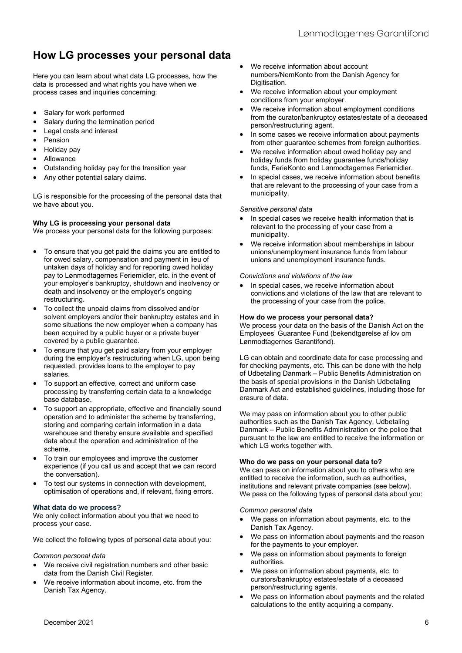# **How LG processes your personal data**

Here you can learn about what data LG processes, how the data is processed and what rights you have when we process cases and inquiries concerning:

- Salary for work performed
- Salary during the termination period
- Legal costs and interest
- Pension
- Holiday pay
- Allowance
- Outstanding holiday pay for the transition year
- Any other potential salary claims.

LG is responsible for the processing of the personal data that we have about you.

#### **Why LG is processing your personal data**

We process your personal data for the following purposes:

- To ensure that you get paid the claims you are entitled to for owed salary, compensation and payment in lieu of untaken days of holiday and for reporting owed holiday pay to Lønmodtagernes Feriemidler, etc. in the event of your employer's bankruptcy, shutdown and insolvency or death and insolvency or the employer's ongoing restructuring.
- To collect the unpaid claims from dissolved and/or solvent employers and/or their bankruptcy estates and in some situations the new employer when a company has been acquired by a public buyer or a private buyer covered by a public guarantee.
- To ensure that you get paid salary from your employer during the employer's restructuring when LG, upon being requested, provides loans to the employer to pay salaries.
- To support an effective, correct and uniform case processing by transferring certain data to a knowledge base database.
- To support an appropriate, effective and financially sound operation and to administer the scheme by transferring, storing and comparing certain information in a data warehouse and thereby ensure available and specified data about the operation and administration of the scheme.
- To train our employees and improve the customer experience (if you call us and accept that we can record the conversation).
- To test our systems in connection with development, optimisation of operations and, if relevant, fixing errors.

#### **What data do we process?**

We only collect information about you that we need to process your case.

We collect the following types of personal data about you:

#### *Common personal data*

- We receive civil registration numbers and other basic data from the Danish Civil Register.
- We receive information about income, etc. from the Danish Tax Agency.
- We receive information about account numbers/NemKonto from the Danish Agency for Digitisation.
- We receive information about your employment conditions from your employer.
- We receive information about employment conditions from the curator/bankruptcy estates/estate of a deceased person/restructuring agent.
- In some cases we receive information about payments from other guarantee schemes from foreign authorities.
- We receive information about owed holiday pay and holiday funds from holiday guarantee funds/holiday funds, FerieKonto and Lønmodtagernes Feriemidler.
- In special cases, we receive information about benefits that are relevant to the processing of your case from a municipality.

#### *Sensitive personal data*

- In special cases we receive health information that is relevant to the processing of your case from a municipality.
- We receive information about memberships in labour unions/unemployment insurance funds from labour unions and unemployment insurance funds.

#### *Convictions and violations of the law*

 In special cases, we receive information about convictions and violations of the law that are relevant to the processing of your case from the police.

#### **How do we process your personal data?**

We process your data on the basis of the Danish Act on the Employees' Guarantee Fund (bekendtgørelse af lov om Lønmodtagernes Garantifond).

LG can obtain and coordinate data for case processing and for checking payments, etc. This can be done with the help of Udbetaling Danmark – Public Benefits Administration on the basis of special provisions in the Danish Udbetaling Danmark Act and established guidelines, including those for erasure of data.

We may pass on information about you to other public authorities such as the Danish Tax Agency, Udbetaling Danmark – Public Benefits Administration or the police that pursuant to the law are entitled to receive the information or which LG works together with.

#### **Who do we pass on your personal data to?**

We can pass on information about you to others who are entitled to receive the information, such as authorities, institutions and relevant private companies (see below). We pass on the following types of personal data about you:

#### *Common personal data*

- We pass on information about payments, etc. to the Danish Tax Agency.
- We pass on information about payments and the reason for the payments to your employer.
- We pass on information about payments to foreign authorities.
- We pass on information about payments, etc. to curators/bankruptcy estates/estate of a deceased person/restructuring agents.
- We pass on information about payments and the related calculations to the entity acquiring a company.